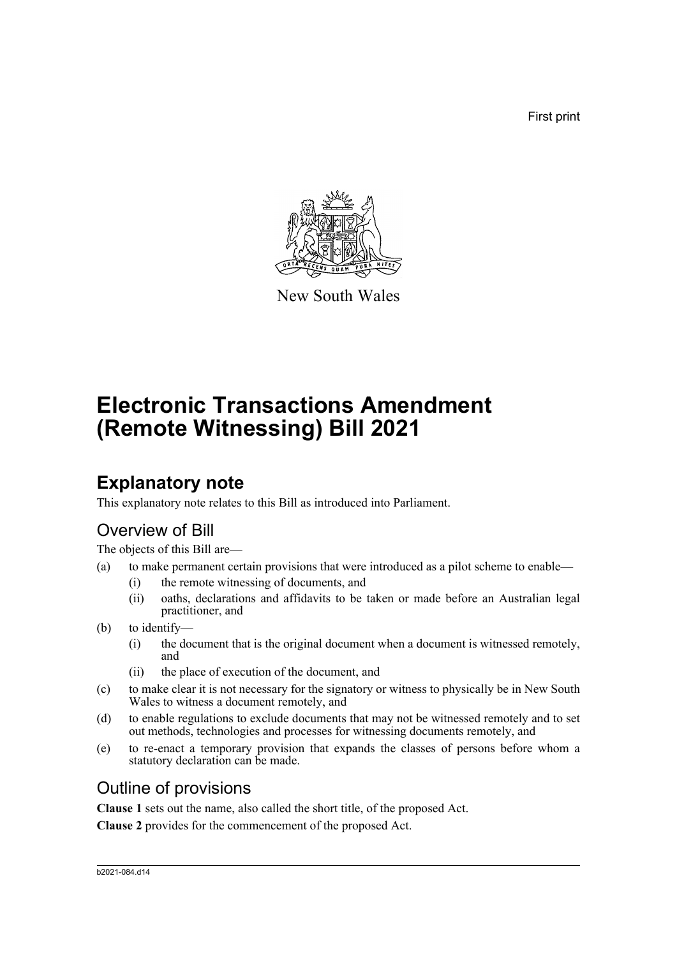First print



New South Wales

# **Electronic Transactions Amendment (Remote Witnessing) Bill 2021**

# **Explanatory note**

This explanatory note relates to this Bill as introduced into Parliament.

### Overview of Bill

The objects of this Bill are—

- (a) to make permanent certain provisions that were introduced as a pilot scheme to enable—
	- (i) the remote witnessing of documents, and
	- (ii) oaths, declarations and affidavits to be taken or made before an Australian legal practitioner, and
- (b) to identify—
	- (i) the document that is the original document when a document is witnessed remotely, and
	- (ii) the place of execution of the document, and
- (c) to make clear it is not necessary for the signatory or witness to physically be in New South Wales to witness a document remotely, and
- (d) to enable regulations to exclude documents that may not be witnessed remotely and to set out methods, technologies and processes for witnessing documents remotely, and
- (e) to re-enact a temporary provision that expands the classes of persons before whom a statutory declaration can be made.

### Outline of provisions

**Clause 1** sets out the name, also called the short title, of the proposed Act.

**Clause 2** provides for the commencement of the proposed Act.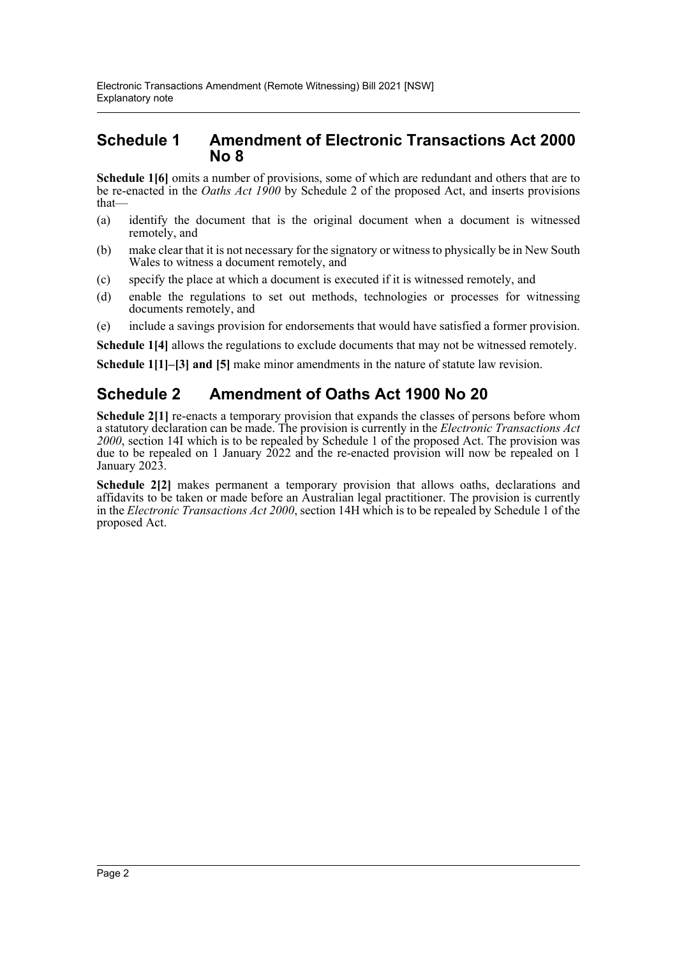#### **Schedule 1 Amendment of Electronic Transactions Act 2000 No 8**

**Schedule 1[6]** omits a number of provisions, some of which are redundant and others that are to be re-enacted in the *Oaths Act 1900* by Schedule 2 of the proposed Act, and inserts provisions that—

- (a) identify the document that is the original document when a document is witnessed remotely, and
- (b) make clear that it is not necessary for the signatory or witness to physically be in New South Wales to witness a document remotely, and
- (c) specify the place at which a document is executed if it is witnessed remotely, and
- (d) enable the regulations to set out methods, technologies or processes for witnessing documents remotely, and
- (e) include a savings provision for endorsements that would have satisfied a former provision.

**Schedule 1[4]** allows the regulations to exclude documents that may not be witnessed remotely.

**Schedule 1[1]–[3] and [5]** make minor amendments in the nature of statute law revision.

### **Schedule 2 Amendment of Oaths Act 1900 No 20**

**Schedule 2[1]** re-enacts a temporary provision that expands the classes of persons before whom a statutory declaration can be made. The provision is currently in the *Electronic Transactions Act 2000*, section 14I which is to be repealed by Schedule 1 of the proposed Act. The provision was due to be repealed on 1 January 2022 and the re-enacted provision will now be repealed on 1 January 2023.

**Schedule 2[2]** makes permanent a temporary provision that allows oaths, declarations and affidavits to be taken or made before an Australian legal practitioner. The provision is currently in the *Electronic Transactions Act 2000*, section 14H which is to be repealed by Schedule 1 of the proposed Act.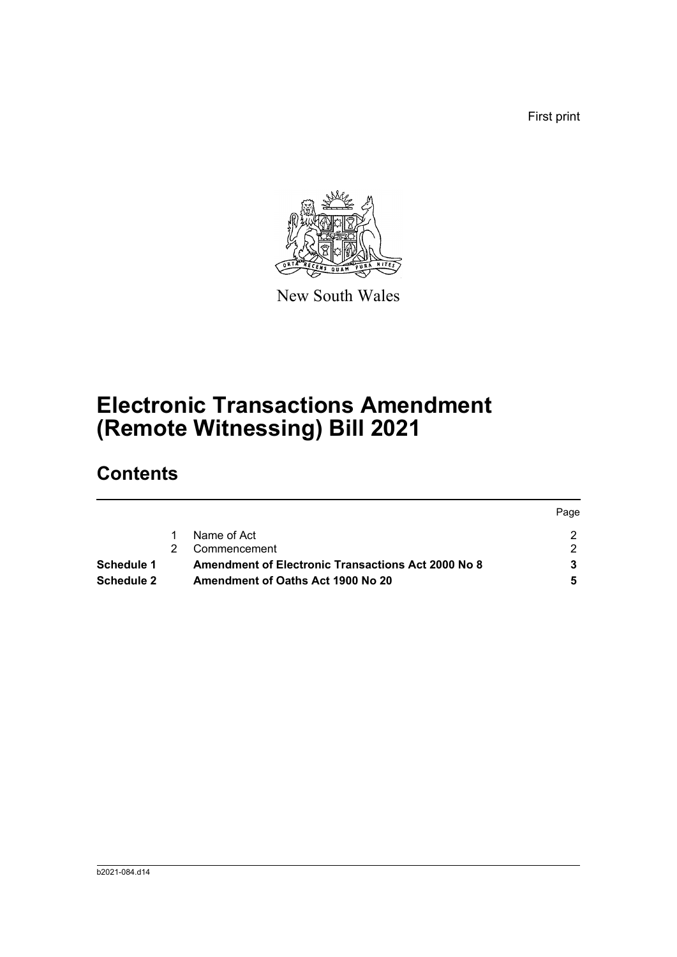First print



New South Wales

# **Electronic Transactions Amendment (Remote Witnessing) Bill 2021**

# **Contents**

|                   |                                                           | Page |
|-------------------|-----------------------------------------------------------|------|
|                   | Name of Act                                               |      |
|                   | Commencement                                              | ົ    |
| Schedule 1        | <b>Amendment of Electronic Transactions Act 2000 No 8</b> |      |
| <b>Schedule 2</b> | Amendment of Oaths Act 1900 No 20                         |      |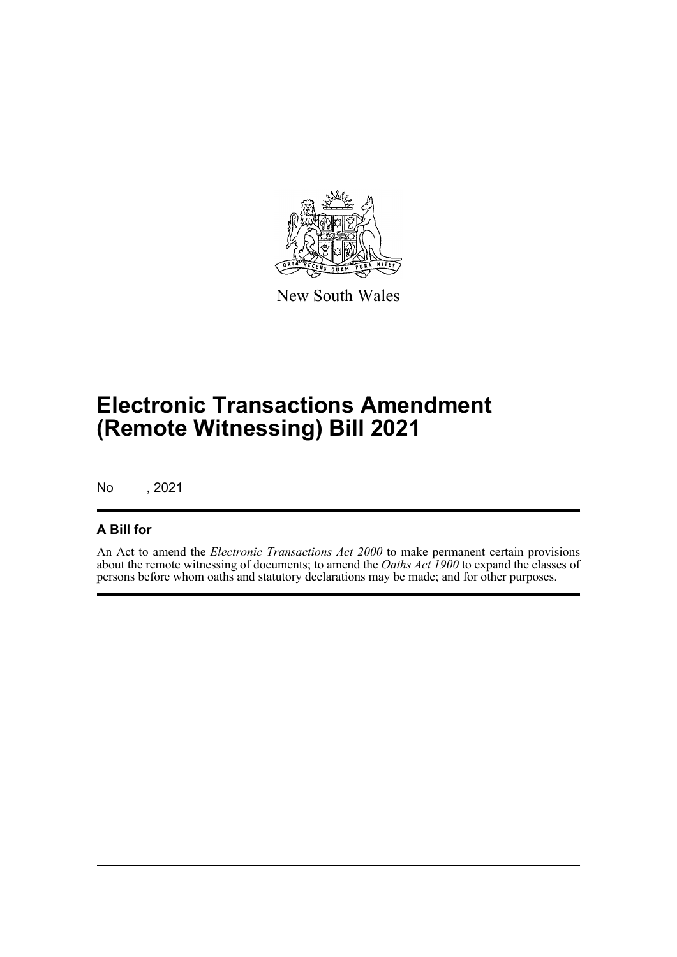

New South Wales

# **Electronic Transactions Amendment (Remote Witnessing) Bill 2021**

No , 2021

#### **A Bill for**

An Act to amend the *Electronic Transactions Act 2000* to make permanent certain provisions about the remote witnessing of documents; to amend the *Oaths Act 1900* to expand the classes of persons before whom oaths and statutory declarations may be made; and for other purposes.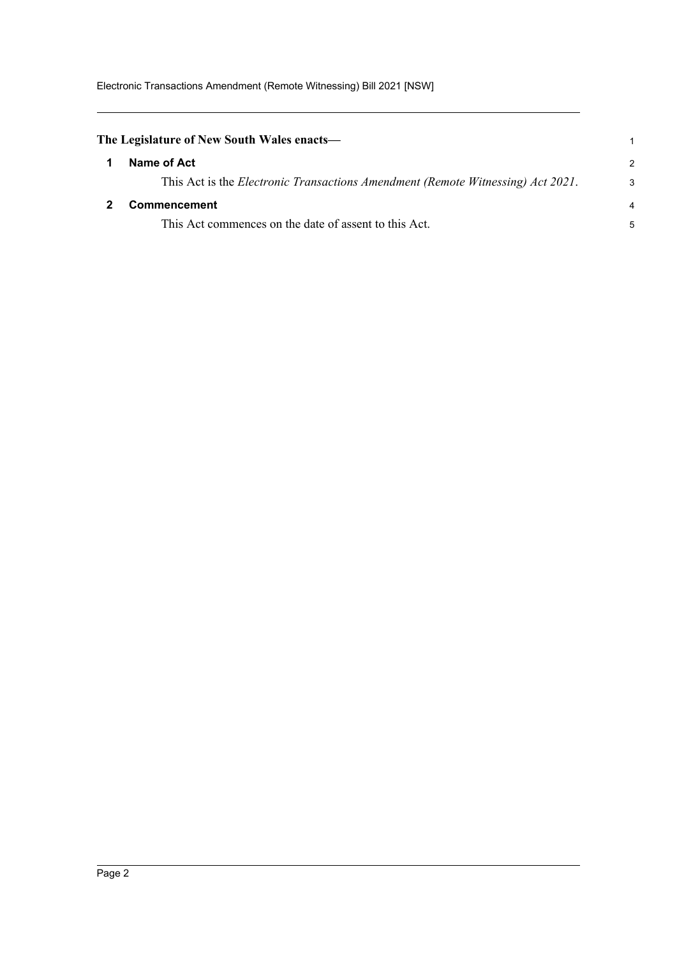<span id="page-4-1"></span><span id="page-4-0"></span>

| The Legislature of New South Wales enacts—                                              |               |
|-----------------------------------------------------------------------------------------|---------------|
| Name of Act                                                                             | $\mathcal{P}$ |
| This Act is the <i>Electronic Transactions Amendment (Remote Witnessing) Act 2021</i> . | 3             |
| Commencement                                                                            | 4             |
| This Act commences on the date of assent to this Act.                                   | 5             |
|                                                                                         |               |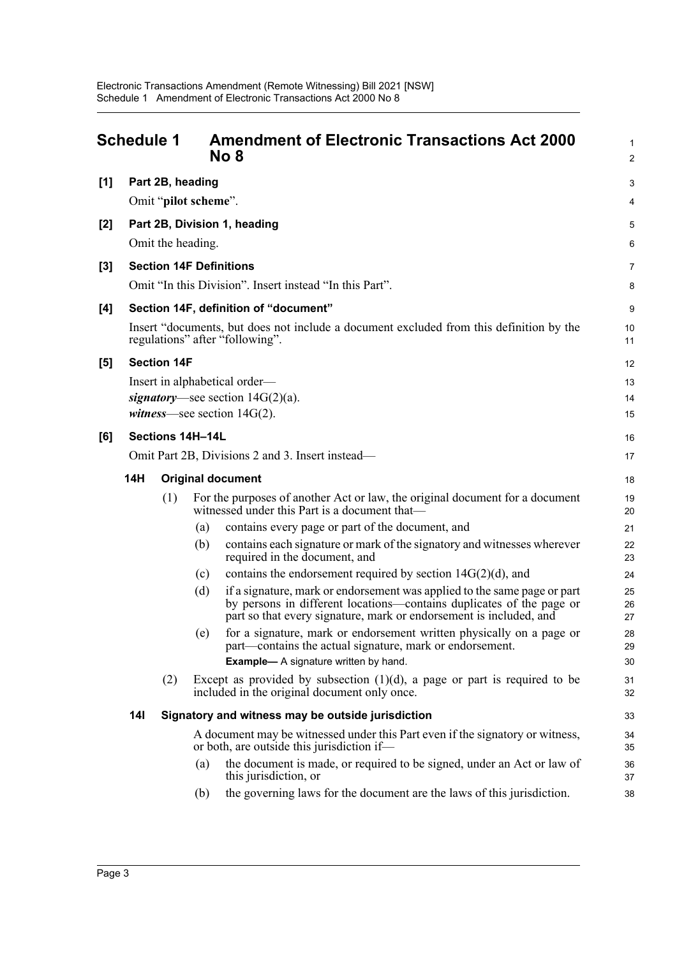<span id="page-5-0"></span>

|       | <b>Schedule 1</b> |                    | <b>Amendment of Electronic Transactions Act 2000</b><br>No 8                                                                                                                                                                  | 1<br>$\overline{2}$ |
|-------|-------------------|--------------------|-------------------------------------------------------------------------------------------------------------------------------------------------------------------------------------------------------------------------------|---------------------|
| [1]   |                   | Part 2B, heading   |                                                                                                                                                                                                                               | 3                   |
|       |                   |                    | Omit "pilot scheme".                                                                                                                                                                                                          | 4                   |
| $[2]$ |                   |                    | Part 2B, Division 1, heading                                                                                                                                                                                                  | 5                   |
|       |                   |                    | Omit the heading.                                                                                                                                                                                                             | 6                   |
| [3]   |                   |                    | <b>Section 14F Definitions</b>                                                                                                                                                                                                | 7                   |
|       |                   |                    | Omit "In this Division". Insert instead "In this Part".                                                                                                                                                                       | 8                   |
| [4]   |                   |                    | Section 14F, definition of "document"                                                                                                                                                                                         | 9                   |
|       |                   |                    | Insert "documents, but does not include a document excluded from this definition by the<br>regulations" after "following".                                                                                                    | 10<br>11            |
| [5]   |                   | <b>Section 14F</b> |                                                                                                                                                                                                                               | 12                  |
|       |                   |                    | Insert in alphabetical order—                                                                                                                                                                                                 | 13                  |
|       |                   |                    | signatory—see section $14G(2)(a)$ .                                                                                                                                                                                           | 14                  |
|       |                   |                    | <i>witness</i> —see section $14G(2)$ .                                                                                                                                                                                        | 15                  |
| [6]   |                   |                    | Sections 14H-14L                                                                                                                                                                                                              | 16                  |
|       |                   |                    | Omit Part 2B, Divisions 2 and 3. Insert instead—                                                                                                                                                                              | 17                  |
|       | 14H               |                    | <b>Original document</b>                                                                                                                                                                                                      | 18                  |
|       |                   | (1)                | For the purposes of another Act or law, the original document for a document<br>witnessed under this Part is a document that-                                                                                                 | 19<br>20            |
|       |                   |                    | contains every page or part of the document, and<br>(a)                                                                                                                                                                       | 21                  |
|       |                   |                    | contains each signature or mark of the signatory and witnesses wherever<br>(b)<br>required in the document, and                                                                                                               | 22<br>23            |
|       |                   |                    | contains the endorsement required by section $14G(2)(d)$ , and<br>(c)                                                                                                                                                         | 24                  |
|       |                   |                    | (d)<br>if a signature, mark or endorsement was applied to the same page or part<br>by persons in different locations—contains duplicates of the page or<br>part so that every signature, mark or endorsement is included, and | 25<br>26<br>27      |
|       |                   |                    | for a signature, mark or endorsement written physically on a page or<br>(e)<br>part—contains the actual signature, mark or endorsement.                                                                                       | 28<br>29            |
|       |                   |                    | <b>Example-</b> A signature written by hand.                                                                                                                                                                                  | 30                  |
|       |                   | (2)                | Except as provided by subsection $(1)(d)$ , a page or part is required to be<br>included in the original document only once.                                                                                                  | 31<br>32            |
|       | 141               |                    | Signatory and witness may be outside jurisdiction                                                                                                                                                                             | 33                  |
|       |                   |                    | A document may be witnessed under this Part even if the signatory or witness,<br>or both, are outside this jurisdiction if—                                                                                                   | 34<br>35            |
|       |                   |                    | the document is made, or required to be signed, under an Act or law of<br>(a)<br>this jurisdiction, or                                                                                                                        | 36<br>37            |
|       |                   |                    | the governing laws for the document are the laws of this jurisdiction.<br>(b)                                                                                                                                                 | 38                  |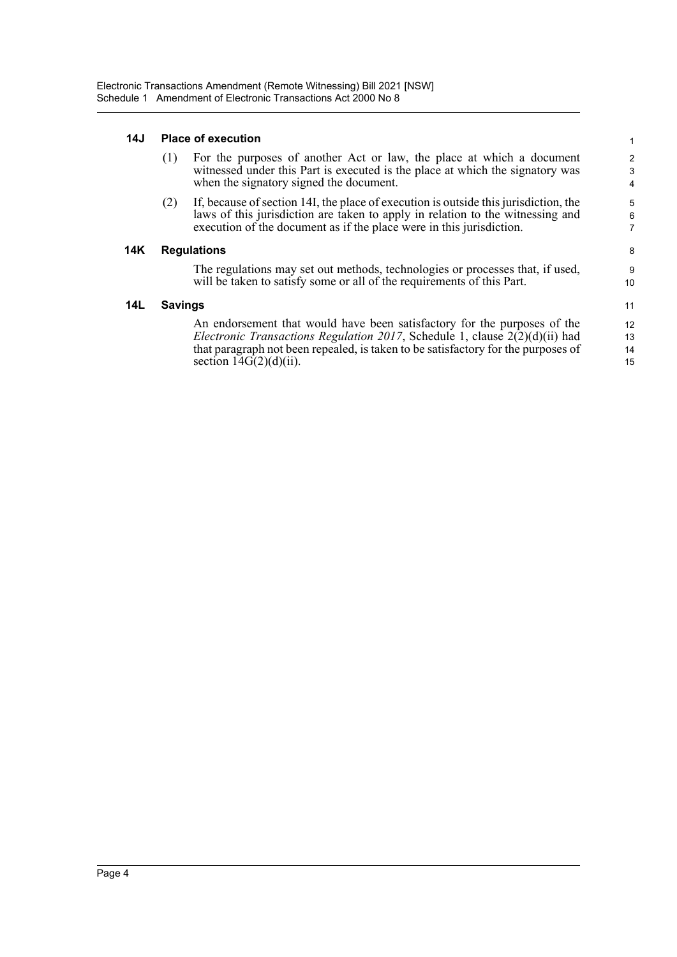#### **14J Place of execution**

|     | (1)            | For the purposes of another Act or law, the place at which a document<br>witnessed under this Part is executed is the place at which the signatory was<br>when the signatory signed the document.                                              | 2<br>3<br>4              |
|-----|----------------|------------------------------------------------------------------------------------------------------------------------------------------------------------------------------------------------------------------------------------------------|--------------------------|
|     | (2)            | If, because of section 14I, the place of execution is outside this jurisdiction, the<br>laws of this jurisdiction are taken to apply in relation to the witnessing and<br>execution of the document as if the place were in this jurisdiction. | 5<br>6<br>$\overline{7}$ |
| 14K |                | <b>Regulations</b>                                                                                                                                                                                                                             | 8                        |
|     |                | The regulations may set out methods, technologies or processes that, if used,<br>will be taken to satisfy some or all of the requirements of this Part.                                                                                        | 9<br>10                  |
| 14L | <b>Savings</b> |                                                                                                                                                                                                                                                | 11                       |
|     |                | An endorsement that would have been satisfactory for the purposes of the                                                                                                                                                                       | 12                       |
|     |                | <i>Electronic Transactions Regulation 2017</i> , Schedule 1, clause $2(2)(d)(ii)$ had                                                                                                                                                          | 13                       |
|     |                | that paragraph not been repealed, is taken to be satisfactory for the purposes of                                                                                                                                                              | 14                       |
|     |                | section $14G(2)(d)(ii)$ .                                                                                                                                                                                                                      | 15                       |

1